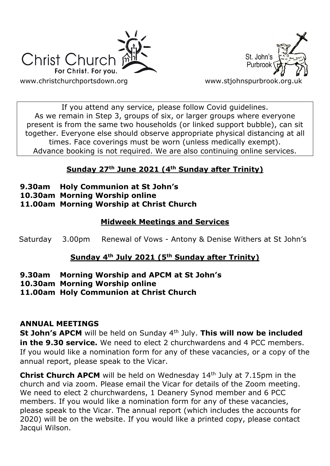



If you attend any service, please follow Covid guidelines. As we remain in Step 3, groups of six, or larger groups where everyone present is from the same two households (or linked support bubble), can sit together. Everyone else should observe appropriate physical distancing at all times. Face coverings must be worn (unless medically exempt). Advance booking is not required. We are also continuing online services.

# **Sunday 27th June 2021 (4th Sunday after Trinity)**

- **9.30am Holy Communion at St John's**
- **10.30am Morning Worship online**
- **11.00am Morning Worship at Christ Church**

# **Midweek Meetings and Services**

Saturday 3.00pm Renewal of Vows - Antony & Denise Withers at St John's

# **Sunday 4th July 2021 (5th Sunday after Trinity)**

- **9.30am Morning Worship and APCM at St John's**
- **10.30am Morning Worship online**
- **11.00am Holy Communion at Christ Church**

# **ANNUAL MEETINGS**

**St John's APCM** will be held on Sunday 4th July. **This will now be included in the 9.30 service.** We need to elect 2 churchwardens and 4 PCC members. If you would like a nomination form for any of these vacancies, or a copy of the annual report, please speak to the Vicar.

**Christ Church APCM** will be held on Wednesday 14<sup>th</sup> July at 7.15pm in the church and via zoom. Please email the Vicar for details of the Zoom meeting. We need to elect 2 churchwardens, 1 Deanery Synod member and 6 PCC members. If you would like a nomination form for any of these vacancies, please speak to the Vicar. The annual report (which includes the accounts for 2020) will be on the website. If you would like a printed copy, please contact Jacqui Wilson.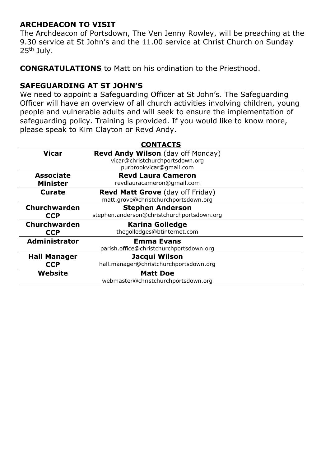## **ARCHDEACON TO VISIT**

The Archdeacon of Portsdown, The Ven Jenny Rowley, will be preaching at the 9.30 service at St John's and the 11.00 service at Christ Church on Sunday 25<sup>th</sup> July.

**CONGRATULATIONS** to Matt on his ordination to the Priesthood.

## **SAFEGUARDING AT ST JOHN'S**

We need to appoint a Safeguarding Officer at St John's. The Safeguarding Officer will have an overview of all church activities involving children, young people and vulnerable adults and will seek to ensure the implementation of safeguarding policy. Training is provided. If you would like to know more, please speak to Kim Clayton or Revd Andy.

| <b>CONTACTS</b>      |                                            |
|----------------------|--------------------------------------------|
| <b>Vicar</b>         | <b>Revd Andy Wilson</b> (day off Monday)   |
|                      | vicar@christchurchportsdown.org            |
|                      | purbrookvicar@gmail.com                    |
| <b>Associate</b>     | <b>Revd Laura Cameron</b>                  |
| <b>Minister</b>      | revdlauracameron@gmail.com                 |
| <b>Curate</b>        | <b>Revd Matt Grove</b> (day off Friday)    |
|                      | matt.grove@christchurchportsdown.org       |
| Churchwarden         | <b>Stephen Anderson</b>                    |
| <b>CCP</b>           | stephen.anderson@christchurchportsdown.org |
| Churchwarden         | <b>Karina Golledge</b>                     |
| <b>CCP</b>           | thegolledges@btinternet.com                |
| <b>Administrator</b> | <b>Emma Evans</b>                          |
|                      | parish.office@christchurchportsdown.org    |
| <b>Hall Manager</b>  | Jacqui Wilson                              |
| <b>CCP</b>           | hall.manager@christchurchportsdown.org     |
| Website              | <b>Matt Doe</b>                            |
|                      | webmaster@christchurchportsdown.org        |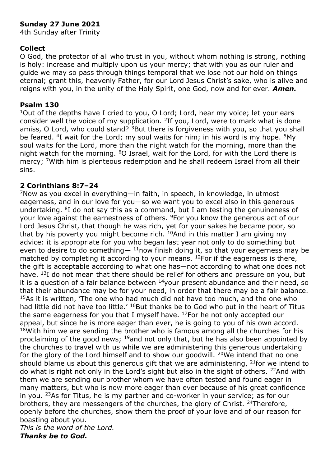## **Sunday 27 June 2021**

4th Sunday after Trinity

### **Collect**

O God, the protector of all who trust in you, without whom nothing is strong, nothing is holy: increase and multiply upon us your mercy; that with you as our ruler and guide we may so pass through things temporal that we lose not our hold on things eternal; grant this, heavenly Father, for our Lord Jesus Christ's sake, who is alive and reigns with you, in the unity of the Holy Spirit, one God, now and for ever. *Amen.*

#### **Psalm 130**

<sup>1</sup>Out of the depths have I cried to you, O Lord; Lord, hear my voice; let your ears consider well the voice of my supplication. <sup>2</sup>If you, Lord, were to mark what is done amiss, O Lord, who could stand? <sup>3</sup>But there is forgiveness with you, so that you shall be feared. <sup>4</sup>I wait for the Lord; my soul waits for him; in his word is my hope. <sup>5</sup>My soul waits for the Lord, more than the night watch for the morning, more than the night watch for the morning. <sup>6</sup>O Israel, wait for the Lord, for with the Lord there is mercy: <sup>7</sup>With him is plenteous redemption and he shall redeem Israel from all their sins.

### **2 Corinthians 8:7–24**

<sup>7</sup>Now as you excel in everything—in faith, in speech, in knowledge, in utmost eagerness, and in our love for you—so we want you to excel also in this generous undertaking. <sup>8</sup>I do not say this as a command, but I am testing the genuineness of your love against the earnestness of others. <sup>9</sup>For you know the generous act of our Lord Jesus Christ, that though he was rich, yet for your sakes he became poor, so that by his poverty you might become rich.  $10$ And in this matter I am giving my advice: it is appropriate for you who began last year not only to do something but even to desire to do something—  $11$ now finish doing it, so that your eagerness may be matched by completing it according to your means.  $^{12}$  For if the eagerness is there, the gift is acceptable according to what one has—not according to what one does not have. <sup>13</sup>I do not mean that there should be relief for others and pressure on you, but it is a question of a fair balance between  $14$ your present abundance and their need, so that their abundance may be for your need, in order that there may be a fair balance. <sup>15</sup>As it is written, 'The one who had much did not have too much, and the one who had little did not have too little.<sup>' 16</sup>But thanks be to God who put in the heart of Titus the same eagerness for you that I myself have.  $17$  For he not only accepted our appeal, but since he is more eager than ever, he is going to you of his own accord.  $18$ With him we are sending the brother who is famous among all the churches for his proclaiming of the good news;  $19$  and not only that, but he has also been appointed by the churches to travel with us while we are administering this generous undertaking for the glory of the Lord himself and to show our goodwill. <sup>20</sup>We intend that no one should blame us about this generous gift that we are administering,  $21$  for we intend to do what is right not only in the Lord's sight but also in the sight of others. <sup>22</sup>And with them we are sending our brother whom we have often tested and found eager in many matters, but who is now more eager than ever because of his great confidence in you. <sup>23</sup>As for Titus, he is my partner and co-worker in your service; as for our brothers, they are messengers of the churches, the glory of Christ. <sup>24</sup>Therefore, openly before the churches, show them the proof of your love and of our reason for boasting about you.

*This is the word of the Lord. Thanks be to God.*